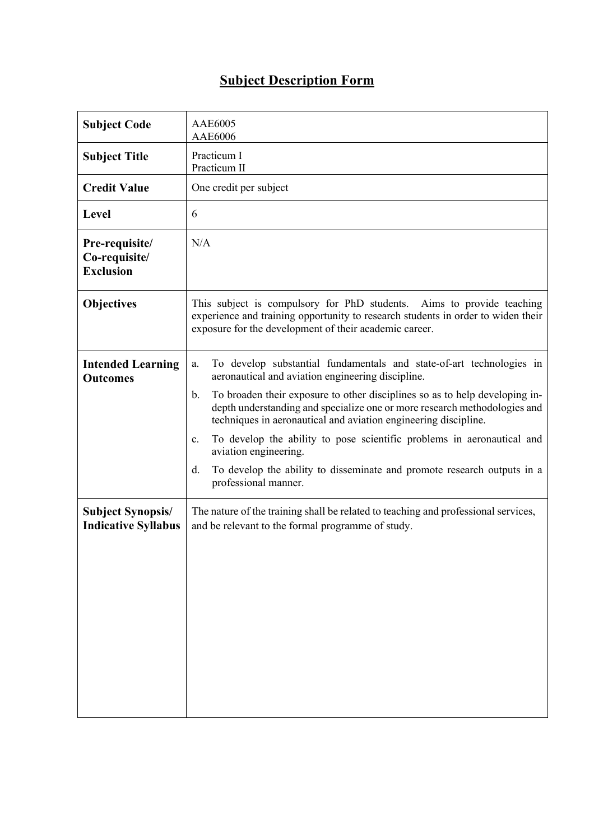## **Subject Description Form**

| <b>Subject Code</b>                                    | <b>AAE6005</b><br>AAE6006                                                                                                                                                                                                         |
|--------------------------------------------------------|-----------------------------------------------------------------------------------------------------------------------------------------------------------------------------------------------------------------------------------|
| <b>Subject Title</b>                                   | Practicum I<br>Practicum II                                                                                                                                                                                                       |
| <b>Credit Value</b>                                    | One credit per subject                                                                                                                                                                                                            |
| Level                                                  | 6                                                                                                                                                                                                                                 |
| Pre-requisite/<br>Co-requisite/<br><b>Exclusion</b>    | N/A                                                                                                                                                                                                                               |
| <b>Objectives</b>                                      | This subject is compulsory for PhD students. Aims to provide teaching<br>experience and training opportunity to research students in order to widen their<br>exposure for the development of their academic career.               |
| <b>Intended Learning</b><br><b>Outcomes</b>            | To develop substantial fundamentals and state-of-art technologies in<br>a.<br>aeronautical and aviation engineering discipline.                                                                                                   |
|                                                        | To broaden their exposure to other disciplines so as to help developing in-<br>b.<br>depth understanding and specialize one or more research methodologies and<br>techniques in aeronautical and aviation engineering discipline. |
|                                                        | To develop the ability to pose scientific problems in aeronautical and<br>$\mathbf{c}$ .<br>aviation engineering.                                                                                                                 |
|                                                        | To develop the ability to disseminate and promote research outputs in a<br>d.<br>professional manner.                                                                                                                             |
| <b>Subject Synopsis/</b><br><b>Indicative Syllabus</b> | The nature of the training shall be related to teaching and professional services,<br>and be relevant to the formal programme of study.                                                                                           |